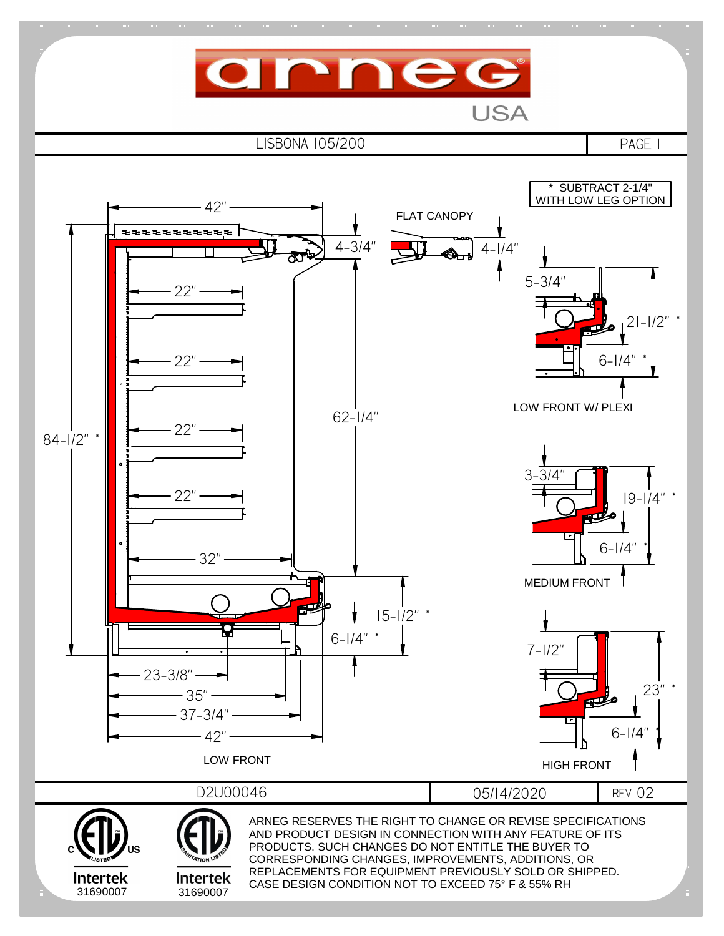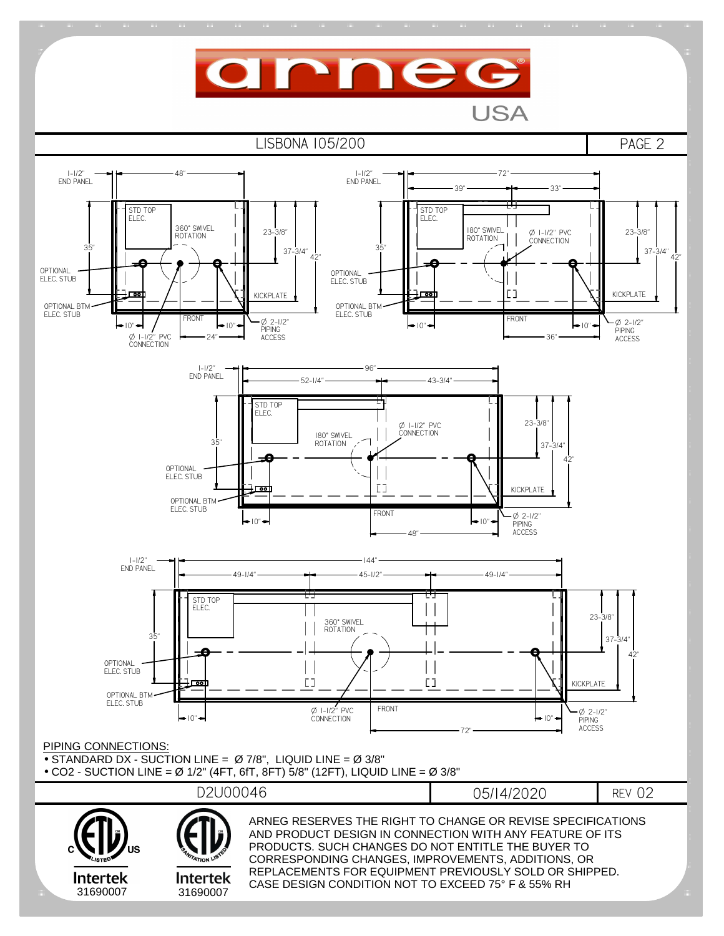